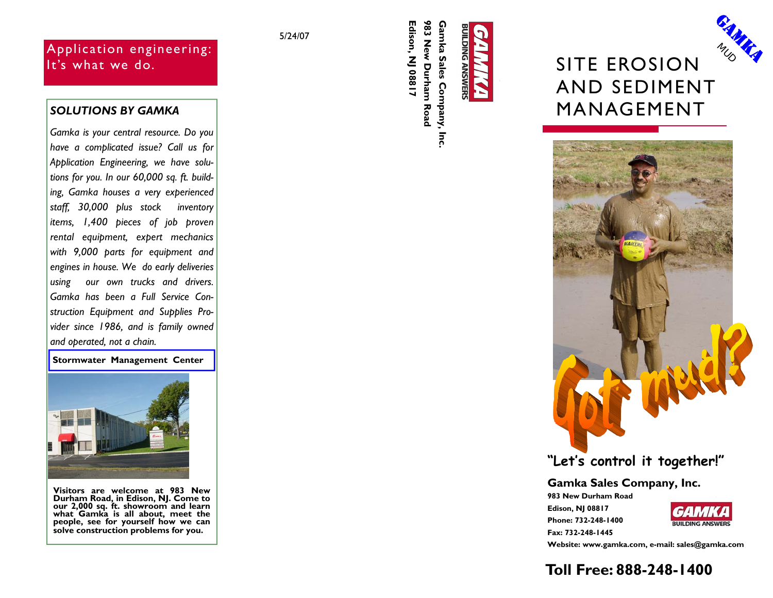# Application engineering: It's what we do.

*Gamka is your central resource. Do you have a complicated issue? Call us for Application Engineering, we have solutions for you. In our 60,000 sq. ft. building, Gamka houses a very experienced staff, 30,000 plus stock inventory items, 1,400 pieces of job proven rental equipment, expert mechanics with 9,000 parts for equipment and engines in house. We do early deliveries using our own trucks and drivers. Gamka has been a Full Service Construction Equipment and Supplies Provider since 1986, and is family owned and operated, not a chain.* 

**Stormwater Management Center** 



**Visitors are welcome at 983 New Durham Road, in Edison, NJ. Come to our 2,000 sq. ft. showroom and learn what Gamka is all about, meet the people, see for yourself how we can solve construction problems for you.**

5/24/07

Edison, NJ 08817 **Edison, NJ 08817 983 New Durham Road Gamka Sales Company, Inc.**  Inc.





# **"Let's control it together!"**

**Gamka Sales Company, Inc.** 

**983 New Durham Road Edison, NJ 08817 Phone: 732-248-1400 Fax: 732-248-1445** 



**GAMARA MUD** 

**Website: www.gamka.com, e-mail: sales@gamka.com** 

# **Toll Free: 888-248-1400**